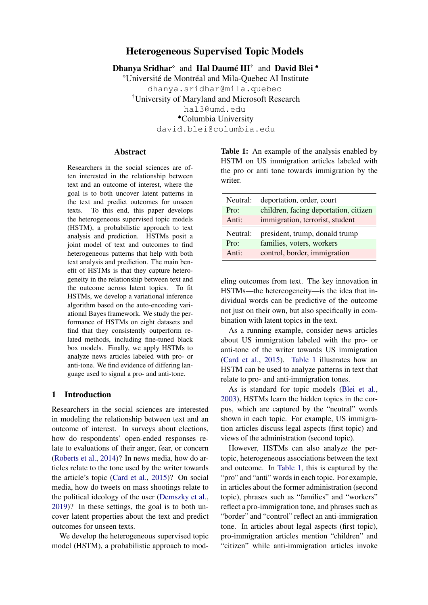# Heterogeneous Supervised Topic Models

Dhanya Sridhar<sup>®</sup> and Hal Daumé III<sup>†</sup> and David Blei<sup>\*</sup>

<sup>⋄</sup>Université de Montréal and Mila-Quebec AI Institute

dhanya.sridhar@mila.quebec

†University of Maryland and Microsoft Research

hal3@umd.edu

♠Columbia University

david.blei@columbia.edu

# **Abstract**

Researchers in the social sciences are often interested in the relationship between text and an outcome of interest, where the goal is to both uncover latent patterns in the text and predict outcomes for unseen texts. To this end, this paper develops the heterogeneous supervised topic models (HSTM), a probabilistic approach to text analysis and prediction. HSTMs posit a joint model of text and outcomes to find heterogeneous patterns that help with both text analysis and prediction. The main benefit of HSTMs is that they capture heterogeneity in the relationship between text and the outcome across latent topics. To fit HSTMs, we develop a variational inference algorithm based on the auto-encoding variational Bayes framework. We study the performance of HSTMs on eight datasets and find that they consistently outperform related methods, including fine-tuned black box models. Finally, we apply HSTMs to analyze news articles labeled with pro- or anti-tone. We find evidence of differing language used to signal a pro- and anti-tone.

# 1 Introduction

Researchers in the social sciences are interested in modeling the relationship between text and an outcome of interest. In surveys about elections, how do respondents' open-ended responses relate to evaluations of their anger, fear, or concern [\(Roberts et al.,](#page-13-0) [2014\)](#page-13-0)? In news media, how do articles relate to the tone used by the writer towards the article's topic [\(Card et al.,](#page-11-0) [2015\)](#page-11-0)? On social media, how do tweets on mass shootings relate to the political ideology of the user [\(Demszky et al.,](#page-11-1) [2019\)](#page-11-1)? In these settings, the goal is to both uncover latent properties about the text and predict outcomes for unseen texts.

We develop the heterogeneous supervised topic model (HSTM), a probabilistic approach to mod<span id="page-0-0"></span>Table 1: An example of the analysis enabled by HSTM on US immigration articles labeled with the pro or anti tone towards immigration by the writer.

| Neutral: | deportation, order, court             |
|----------|---------------------------------------|
| Pro:     | children, facing deportation, citizen |
| Anti:    | immigration, terrorist, student       |
| Neutral: | president, trump, donald trump        |
| Pro:     | families, voters, workers             |
| Anti:    | control, border, immigration          |

eling outcomes from text. The key innovation in HSTMs—the hetereogeneity—is the idea that individual words can be predictive of the outcome not just on their own, but also specifically in combination with latent topics in the text.

As a running example, consider news articles about US immigration labeled with the pro- or anti-tone of the writer towards US immigration [\(Card et al.,](#page-11-0) [2015\)](#page-11-0). [Table 1](#page-0-0) illustrates how an HSTM can be used to analyze patterns in text that relate to pro- and anti-immigration tones.

As is standard for topic models [\(Blei et al.,](#page-11-2) [2003\)](#page-11-2), HSTMs learn the hidden topics in the corpus, which are captured by the "neutral" words shown in each topic. For example, US immigration articles discuss legal aspects (first topic) and views of the administration (second topic).

However, HSTMs can also analyze the pertopic, heterogeneous associations between the text and outcome. In [Table 1,](#page-0-0) this is captured by the "pro" and "anti" words in each topic. For example, in articles about the former administration (second topic), phrases such as "families" and "workers" reflect a pro-immigration tone, and phrases such as "border" and "control" reflect an anti-immigration tone. In articles about legal aspects (first topic), pro-immigration articles mention "children" and "citizen" while anti-immigration articles invoke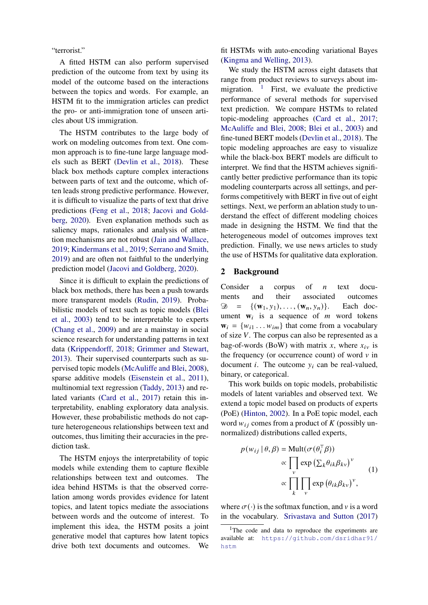"terrorist."

A fitted HSTM can also perform supervised prediction of the outcome from text by using its model of the outcome based on the interactions between the topics and words. For example, an HSTM fit to the immigration articles can predict the pro- or anti-immigration tone of unseen articles about US immigration.

The HSTM contributes to the large body of work on modeling outcomes from text. One common approach is to fine-tune large language models such as BERT [\(Devlin et al.,](#page-11-3) [2018\)](#page-11-3). These black box methods capture complex interactions between parts of text and the outcome, which often leads strong predictive performance. However, it is difficult to visualize the parts of text that drive predictions [\(Feng et al.,](#page-12-0) [2018;](#page-12-0) [Jacovi and Gold](#page-12-1)[berg,](#page-12-1) [2020\)](#page-12-1). Even explanation methods such as saliency maps, rationales and analysis of attention mechanisms are not robust [\(Jain and Wallace,](#page-12-2) [2019;](#page-12-2) [Kindermans et al.,](#page-12-3) [2019;](#page-12-3) [Serrano and Smith,](#page-13-1) [2019\)](#page-13-1) and are often not faithful to the underlying prediction model [\(Jacovi and Goldberg,](#page-12-1) [2020\)](#page-12-1).

Since it is difficult to explain the predictions of black box methods, there has been a push towards more transparent models [\(Rudin,](#page-13-2) [2019\)](#page-13-2). Probabilistic models of text such as topic models [\(Blei](#page-11-2) [et al.,](#page-11-2) [2003\)](#page-11-2) tend to be interpretable to experts [\(Chang et al.,](#page-11-4) [2009\)](#page-11-4) and are a mainstay in social science research for understanding patterns in text data [\(Krippendorff,](#page-12-4) [2018;](#page-12-4) [Grimmer and Stewart,](#page-12-5) [2013\)](#page-12-5). Their supervised counterparts such as supervised topic models [\(McAuliffe and Blei,](#page-12-6) [2008\)](#page-12-6), sparse additive models [\(Eisenstein et al.,](#page-11-5) [2011\)](#page-11-5), multinomial text regression [\(Taddy,](#page-13-3) [2013\)](#page-13-3) and related variants [\(Card et al.,](#page-11-6) [2017\)](#page-11-6) retain this interpretability, enabling exploratory data analysis. However, these probabilistic methods do not capture heterogeneous relationships between text and outcomes, thus limiting their accuracies in the prediction task.

The HSTM enjoys the interpretability of topic models while extending them to capture flexible relationships between text and outcomes. The idea behind HSTMs is that the observed correlation among words provides evidence for latent topics, and latent topics mediate the associations between words and the outcome of interest. To implement this idea, the HSTM posits a joint generative model that captures how latent topics drive both text documents and outcomes. We

fit HSTMs with auto-encoding variational Bayes [\(Kingma and Welling,](#page-12-7) [2013\)](#page-12-7).

We study the HSTM across eight datasets that range from product reviews to surveys about immigration.  $\frac{1}{1}$  $\frac{1}{1}$  $\frac{1}{1}$  First, we evaluate the predictive performance of several methods for supervised text prediction. We compare HSTMs to related topic-modeling approaches [\(Card et al.,](#page-11-6) [2017;](#page-11-6) [McAuliffe and Blei,](#page-12-6) [2008;](#page-12-6) [Blei et al.,](#page-11-2) [2003\)](#page-11-2) and fine-tuned BERT models [\(Devlin et al.,](#page-11-3) [2018\)](#page-11-3). The topic modeling approaches are easy to visualize while the black-box BERT models are difficult to interpret. We find that the HSTM achieves significantly better predictive performance than its topic modeling counterparts across all settings, and performs competitively with BERT in five out of eight settings. Next, we perform an ablation study to understand the effect of different modeling choices made in designing the HSTM. We find that the heterogeneous model of outcomes improves text prediction. Finally, we use news articles to study the use of HSTMs for qualitative data exploration.

### <span id="page-1-1"></span>2 Background

Consider a corpus of  $n$  text documents and their associated outcomes  $\mathfrak{D} = \{ (\mathbf{w}_1, y_1), \dots, (\mathbf{w}_n, y_n) \}.$  Each document  $w_i$  is a sequence of  $m$  word tokens  $\mathbf{w}_i = \{w_{i1} \dots w_{im}\}\$ that come from a vocabulary of size  $V$ . The corpus can also be represented as a bag-of-words (BoW) with matrix x, where  $x_{iv}$  is the frequency (or occurrence count) of word  $\nu$  in document *i*. The outcome  $y_i$  can be real-valued, binary, or categorical.

This work builds on topic models, probabilistic models of latent variables and observed text. We extend a topic model based on products of experts (PoE) [\(Hinton,](#page-12-8) [2002\)](#page-12-8). In a PoE topic model, each word  $w_{ij}$  comes from a product of K (possibly unnormalized) distributions called experts,

$$
p(w_{ij} | \theta, \beta) = \text{Mult}(\sigma(\theta_i^{\top} \beta))
$$

$$
\propto \prod_{v} \exp\left(\sum_{k} \theta_{ik} \beta_{kv}\right)^{v}
$$

$$
\propto \prod_{k} \prod_{v} \exp\left(\theta_{ik} \beta_{kv}\right)^{v}, \tag{1}
$$

where  $\sigma(\cdot)$  is the softmax function, and v is a word in the vocabulary. [Srivastava and Sutton](#page-13-4) [\(2017\)](#page-13-4)

<span id="page-1-0"></span><sup>&</sup>lt;sup>1</sup>The code and data to reproduce the experiments are available at: [https://github.com/dsridhar91/](https://github.com/dsridhar91/hstm) [hstm](https://github.com/dsridhar91/hstm)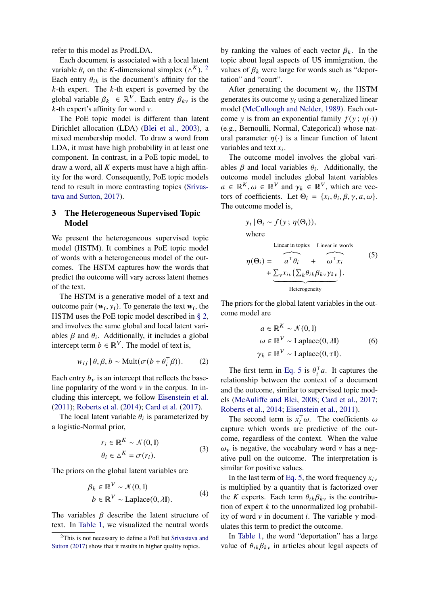refer to this model as ProdLDA.

Each document is associated with a local latent variable  $\theta_i$  on the K-dimensional simplex ( $\Delta^K$ ). <sup>[2](#page-2-0)</sup> Each entry  $\theta_{ik}$  is the document's affinity for the  $k$ -th expert. The  $k$ -th expert is governed by the global variable  $\beta_k \in \mathbb{R}^V$ . Each entry  $\beta_{kv}$  is the  $k$ -th expert's affinity for word  $v$ .

The PoE topic model is different than latent Dirichlet allocation (LDA) [\(Blei et al.,](#page-11-2) [2003\)](#page-11-2), a mixed membership model. To draw a word from LDA, it must have high probability in at least one component. In contrast, in a PoE topic model, to draw a word, all  $K$  experts must have a high affinity for the word. Consequently, PoE topic models tend to result in more contrasting topics [\(Srivas](#page-13-4)[tava and Sutton,](#page-13-4) [2017\)](#page-13-4).

# <span id="page-2-3"></span>3 The Heterogeneous Supervised Topic Model

We present the heterogeneous supervised topic model (HSTM). It combines a PoE topic model of words with a heterogeneous model of the outcomes. The HSTM captures how the words that predict the outcome will vary across latent themes of the text.

The HSTM is a generative model of a text and outcome pair  $(\mathbf{w}_i, y_i)$ . To generate the text  $\mathbf{w}_i$ , the HSTM uses the PoE topic model described in [§ 2,](#page-1-1) and involves the same global and local latent variables  $\beta$  and  $\theta_i$ . Additionally, it includes a global intercept term  $b \in \mathbb{R}^V$ . The model of text is,

$$
w_{ij} | \theta, \beta, b \sim \text{Mult}(\sigma(b + \theta_i^{\top} \beta)). \tag{2}
$$

Each entry  $b_v$  is an intercept that reflects the baseline popularity of the word  $\nu$  in the corpus. In including this intercept, we follow [Eisenstein et al.](#page-11-5) [\(2011\)](#page-11-5); [Roberts et al.](#page-13-0) [\(2014\)](#page-13-0); [Card et al.](#page-11-6) [\(2017\)](#page-11-6).

The local latent variable  $\theta_i$  is parameterized by a logistic-Normal prior,

$$
r_i \in \mathbb{R}^K \sim \mathcal{N}(0, \mathbb{I})
$$
  
\n
$$
\theta_i \in \Delta^K = \sigma(r_i).
$$
 (3)

The priors on the global latent variables are

$$
\beta_k \in \mathbb{R}^V \sim \mathcal{N}(0, \mathbb{I})
$$
  
\n
$$
b \in \mathbb{R}^V \sim \text{Laplace}(0, \lambda \mathbb{I}).
$$
 (4)

The variables  $\beta$  describe the latent structure of text. In [Table 1,](#page-0-0) we visualized the neutral words by ranking the values of each vector  $\beta_k$ . In the topic about legal aspects of US immigration, the values of  $\beta_k$  were large for words such as "deportation" and "court".

After generating the document  $w_i$ , the HSTM generates its outcome  $y_i$  using a generalized linear model [\(McCullough and Nelder,](#page-12-9) [1989\)](#page-12-9). Each outcome y is from an exponential family  $f(y; \eta(\cdot))$ (e.g., Bernoulli, Normal, Categorical) whose natural parameter  $\eta(\cdot)$  is a linear function of latent variables and text  $x_i$ .

The outcome model involves the global variables  $\beta$  and local variables  $\theta_i$ . Additionally, the outcome model includes global latent variables  $a \in \mathbb{R}^K, \omega \in \mathbb{R}^V$  and  $\gamma_k \in \mathbb{R}^V$ , which are vectors of coefficients. Let  $\Theta_i = \{x_i, \theta_i, \beta, \gamma, a, \omega\}.$ The outcome model is,

$$
y_i | \Theta_i \sim f(y; \eta(\Theta_i)),
$$
  
where

<span id="page-2-1"></span>Linear in topics Linear in words

$$
\eta(\Theta_i) = \widehat{a^{\top} \theta_i} + \widehat{\omega^{\top} x_i}
$$
\n
$$
+ \underbrace{\sum_{v} x_{iv} (\sum_{k} \theta_{ik} \beta_{kv} \gamma_{kv})}_{\text{Heterogeneity}}.
$$
\n(5)

The priors for the global latent variables in the outcome model are

$$
a \in \mathbb{R}^{K} \sim \mathcal{N}(0, \mathbb{I})
$$
  
\n
$$
\omega \in \mathbb{R}^{V} \sim \text{Laplace}(0, \lambda \mathbb{I})
$$
 (6)  
\n
$$
\gamma_{k} \in \mathbb{R}^{V} \sim \text{Laplace}(0, \tau \mathbb{I}).
$$

The first term in [Eq. 5](#page-2-1) is  $\theta_i^{\top}a$ . It captures the relationship between the context of a document and the outcome, similar to supervised topic models [\(McAuliffe and Blei,](#page-12-6) [2008;](#page-12-6) [Card et al.,](#page-11-6) [2017;](#page-11-6) [Roberts et al.,](#page-13-0) [2014;](#page-13-0) [Eisenstein et al.,](#page-11-5) [2011\)](#page-11-5).

<span id="page-2-2"></span>The second term is  $x_i^{\dagger} \omega$ . The coefficients  $\omega$ capture which words are predictive of the outcome, regardless of the context. When the value  $\omega_{v}$  is negative, the vocabulary word v has a negative pull on the outcome. The interpretation is similar for positive values.

In the last term of [Eq. 5,](#page-2-1) the word frequency  $x_{iv}$ is multiplied by a quantity that is factorized over the K experts. Each term  $\theta_{ik}\beta_{kv}$  is the contribution of expert  $k$  to the unnormalized log probability of word  $v$  in document *i*. The variable  $\gamma$  modulates this term to predict the outcome.

In [Table 1,](#page-0-0) the word "deportation" has a large value of  $\theta_{ik}\beta_{kv}$  in articles about legal aspects of

<span id="page-2-0"></span><sup>2</sup>This is not necessary to define a PoE but [Srivastava and](#page-13-4) [Sutton](#page-13-4) [\(2017\)](#page-13-4) show that it results in higher quality topics.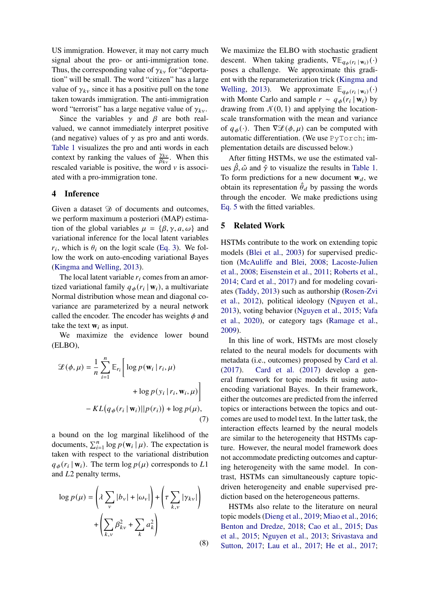US immigration. However, it may not carry much signal about the pro- or anti-immigration tone. Thus, the corresponding value of  $\gamma_{kv}$  for "deportation" will be small. The word "citizen" has a large value of  $\gamma_{kv}$  since it has a positive pull on the tone taken towards immigration. The anti-immigration word "terrorist" has a large negative value of  $\gamma_{kv}$ .

Since the variables  $\gamma$  and  $\beta$  are both realvalued, we cannot immediately interpret positive (and negative) values of  $\gamma$  as pro and anti words. [Table 1](#page-0-0) visualizes the pro and anti words in each context by ranking the values of  $\frac{\gamma_{kv}}{\beta_{kv}}$ . When this rescaled variable is positive, the word  $\nu$  is associated with a pro-immigration tone.

# 4 Inference

Given a dataset  $\mathcal D$  of documents and outcomes, we perform maximum a posteriori (MAP) estimation of the global variables  $\mu = {\beta, \gamma, a, \omega}$  and variational inference for the local latent variables  $r_i$ , which is  $\theta_i$  on the logit scale [\(Eq. 3\)](#page-2-2). We follow the work on auto-encoding variational Bayes [\(Kingma and Welling,](#page-12-7) [2013\)](#page-12-7).

The local latent variable  $r_i$  comes from an amortized variational family  $q_{\phi}(r_i | \mathbf{w}_i)$ , a multivariate Normal distribution whose mean and diagonal covariance are parameterized by a neural network called the encoder. The encoder has weights  $\phi$  and take the text  $w_i$  as input.

We maximize the evidence lower bound (ELBO),

$$
\mathcal{L}(\phi, \mu) = \frac{1}{n} \sum_{i=1}^{n} \mathbb{E}_{r_i} \left[ \log p(\mathbf{w}_i | r_i, \mu) + \log p(y_i | r_i, \mathbf{w}_i, \mu) \right] - KL(q_{\phi}(r_i | \mathbf{w}_i) || p(r_i)) + \log p(\mu), \tag{7}
$$

a bound on the log marginal likelihood of the documents,  $\sum_{i=1}^{n} \log p(\mathbf{w}_i | \mu)$ . The expectation is taken with respect to the variational distribution  $q_{\phi}(r_i | \mathbf{w}_i)$ . The term  $\log p(\mu)$  corresponds to L1 and  $L2$  penalty terms,

$$
\log p(\mu) = \left(\lambda \sum_{v} |b_{v}| + |\omega_{v}|\right) + \left(\tau \sum_{k,v} |\gamma_{kv}|\right) + \left(\sum_{k,v} \beta_{kv}^2 + \sum_{k} a_k^2\right)
$$
\n(8)

We maximize the ELBO with stochastic gradient descent. When taking gradients,  $\nabla \mathbb{E}_{q_{\phi}(r_i \mid \mathbf{w}_i)}(\cdot)$ poses a challenge. We approximate this gradient with the reparameterization trick [\(Kingma and](#page-12-7) [Welling,](#page-12-7) [2013\)](#page-12-7). We approximate  $\mathbb{E}_{q_{\phi}(r_i | \mathbf{w}_i)}(\cdot)$ with Monte Carlo and sample  $r \sim q_{\phi}(r_i | \mathbf{w}_i)$  by drawing from  $\mathcal{N}(0, 1)$  and applying the locationscale transformation with the mean and variance of  $q_{\phi}(\cdot)$ . Then  $\nabla \mathcal{L}(\phi, \mu)$  can be computed with automatic differentiation. (We use PyTorch; implementation details are discussed below.)

After fitting HSTMs, we use the estimated values  $\hat{\beta}$ ,  $\hat{\omega}$  and  $\hat{\gamma}$  to visualize the results in [Table 1.](#page-0-0) To form predictions for a new document  $w_d$ , we obtain its representation  $\hat{\theta}_d$  by passing the words through the encoder. We make predictions using [Eq. 5](#page-2-1) with the fitted variables.

## 5 Related Work

HSTMs contribute to the work on extending topic models [\(Blei et al.,](#page-11-2) [2003\)](#page-11-2) for supervised prediction [\(McAuliffe and Blei,](#page-12-6) [2008;](#page-12-6) [Lacoste-Julien](#page-12-10) [et al.,](#page-12-10) [2008;](#page-12-10) [Eisenstein et al.,](#page-11-5) [2011;](#page-11-5) [Roberts et al.,](#page-13-0) [2014;](#page-13-0) [Card et al.,](#page-11-6) [2017\)](#page-11-6) and for modeling covariates [\(Taddy,](#page-13-3) [2013\)](#page-13-3) such as authorship [\(Rosen-Zvi](#page-13-5) [et al.,](#page-13-5) [2012\)](#page-13-5), political ideology [\(Nguyen et al.,](#page-12-11) [2013\)](#page-12-11), voting behavior [\(Nguyen et al.,](#page-12-12) [2015;](#page-12-12) [Vafa](#page-13-6) [et al.,](#page-13-6) [2020\)](#page-13-6), or category tags [\(Ramage et al.,](#page-12-13) [2009\)](#page-12-13).

In this line of work, HSTMs are most closely related to the neural models for documents with metadata (i.e., outcomes) proposed by [Card et al.](#page-11-6) [\(2017\)](#page-11-6). [Card et al.](#page-11-6) [\(2017\)](#page-11-6) develop a general framework for topic models fit using autoencoding variational Bayes. In their framework, either the outcomes are predicted from the inferred topics or interactions between the topics and outcomes are used to model text. In the latter task, the interaction effects learned by the neural models are similar to the heterogeneity that HSTMs capture. However, the neural model framework does not accommodate predicting outcomes and capturing heterogeneity with the same model. In contrast, HSTMs can simultaneously capture topicdriven heterogeneity and enable supervised prediction based on the heterogeneous patterns.

HSTMs also relate to the literature on neural topic models [\(Dieng et al.,](#page-11-7) [2019;](#page-11-7) [Miao et al.,](#page-12-14) [2016;](#page-12-14) [Benton and Dredze,](#page-10-0) [2018;](#page-10-0) [Cao et al.,](#page-11-8) [2015;](#page-11-8) [Das](#page-11-9) [et al.,](#page-11-9) [2015;](#page-11-9) [Nguyen et al.,](#page-12-11) [2013;](#page-12-11) [Srivastava and](#page-13-4) [Sutton,](#page-13-4) [2017;](#page-13-4) [Lau et al.,](#page-12-15) [2017;](#page-12-15) [He et al.,](#page-12-16) [2017;](#page-12-16)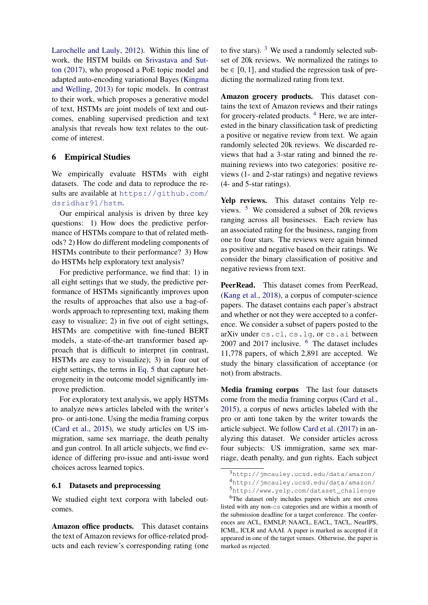[Larochelle and Lauly,](#page-12-17) [2012\)](#page-12-17). Within this line of work, the HSTM builds on [Srivastava and Sut](#page-13-4)[ton](#page-13-4) [\(2017\)](#page-13-4), who proposed a PoE topic model and adapted auto-encoding variational Bayes [\(Kingma](#page-12-7) [and Welling,](#page-12-7) [2013\)](#page-12-7) for topic models. In contrast to their work, which proposes a generative model of text, HSTMs are joint models of text and outcomes, enabling supervised prediction and text analysis that reveals how text relates to the outcome of interest.

# 6 Empirical Studies

We empirically evaluate HSTMs with eight datasets. The code and data to reproduce the results are available at [https://github.com/](https://github.com/dsridhar91/hstm) [dsridhar91/hstm](https://github.com/dsridhar91/hstm).

Our empirical analysis is driven by three key questions: 1) How does the predictive performance of HSTMs compare to that of related methods? 2) How do different modeling components of HSTMs contribute to their performance? 3) How do HSTMs help exploratory text analysis?

For predictive performance, we find that: 1) in all eight settings that we study, the predictive performance of HSTMs significantly improves upon the results of approaches that also use a bag-ofwords approach to representing text, making them easy to visualize; 2) in five out of eight settings, HSTMs are competitive with fine-tuned BERT models, a state-of-the-art transformer based approach that is difficult to interpret (in contrast, HSTMs are easy to visualize); 3) in four out of eight settings, the terms in [Eq. 5](#page-2-1) that capture heterogeneity in the outcome model significantly improve prediction.

For exploratory text analysis, we apply HSTMs to analyze news articles labeled with the writer's pro- or anti-tone. Using the media framing corpus [\(Card et al.,](#page-11-0) [2015\)](#page-11-0), we study articles on US immigration, same sex marriage, the death penalty and gun control. In all article subjects, we find evidence of differing pro-issue and anti-issue word choices across learned topics.

### 6.1 Datasets and preprocessing

We studied eight text corpora with labeled outcomes.

Amazon office products. This dataset contains the text of Amazon reviews for office-related products and each review's corresponding rating (one

to five stars).  $3$  We used a randomly selected subset of 20k reviews. We normalized the ratings to be  $\in [0, 1]$ , and studied the regression task of predicting the normalized rating from text.

Amazon grocery products. This dataset contains the text of Amazon reviews and their ratings for grocery-related products.  $4$  Here, we are interested in the binary classification task of predicting a positive or negative review from text. We again randomly selected 20k reviews. We discarded reviews that had a 3-star rating and binned the remaining reviews into two categories: positive reviews (1- and 2-star ratings) and negative reviews (4- and 5-star ratings).

Yelp reviews. This dataset contains Yelp reviews. [5](#page-4-2) We considered a subset of 20k reviews ranging across all businesses. Each review has an associated rating for the business, ranging from one to four stars. The reviews were again binned as positive and negative based on their ratings. We consider the binary classification of positive and negative reviews from text.

PeerRead. This dataset comes from PeerRead, [\(Kang et al.,](#page-12-18) [2018\)](#page-12-18), a corpus of computer-science papers. The dataset contains each paper's abstract and whether or not they were accepted to a conference. We consider a subset of papers posted to the arXiv under cs.cl, cs.lg, or cs.ai between 2007 and 2017 inclusive. [6](#page-4-3) The dataset includes 11,778 papers, of which 2,891 are accepted. We study the binary classification of acceptance (or not) from abstracts.

Media framing corpus The last four datasets come from the media framing corpus [\(Card et al.,](#page-11-0) [2015\)](#page-11-0), a corpus of news articles labeled with the pro or anti tone taken by the writer towards the article subject. We follow [Card et al.](#page-11-6) [\(2017\)](#page-11-6) in analyzing this dataset. We consider articles across four subjects: US immigration, same sex marriage, death penalty, and gun rights. Each subject

<span id="page-4-1"></span><span id="page-4-0"></span><sup>3</sup>http://jmcauley.ucsd.edu/data/amazon/ <sup>4</sup>http://jmcauley.ucsd.edu/data/amazon/

<span id="page-4-3"></span><span id="page-4-2"></span><sup>5</sup>http://www.yelp.com/dataset\_challenge

<sup>6</sup>The dataset only includes papers which are not cross listed with any non-cs categories and are within a month of the submission deadline for a target conference. The conferences are ACL, EMNLP, NAACL, EACL, TACL, NeurIPS, ICML, ICLR and AAAI. A paper is marked as accepted if it appeared in one of the target venues. Otherwise, the paper is marked as rejected.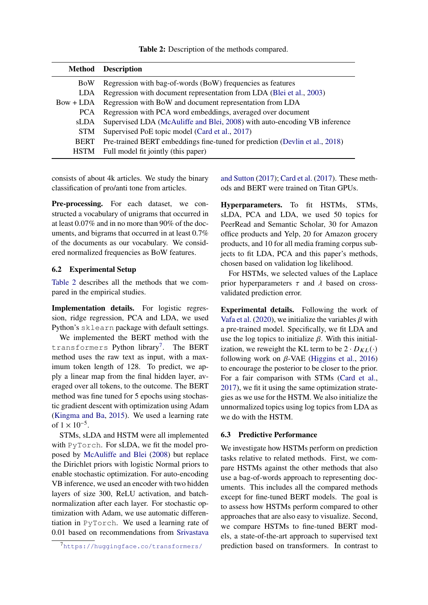Table 2: Description of the methods compared.

<span id="page-5-0"></span>

| <b>Method</b> | <b>Description</b>                                                          |
|---------------|-----------------------------------------------------------------------------|
| BoW           | Regression with bag-of-words (BoW) frequencies as features                  |
| LDA           | Regression with document representation from LDA (Blei et al., 2003)        |
| $Bow + LDA$   | Regression with BoW and document representation from LDA                    |
| <b>PCA</b>    | Regression with PCA word embeddings, averaged over document                 |
| sLDA          | Supervised LDA (McAuliffe and Blei, 2008) with auto-encoding VB inference   |
| <b>STM</b>    | Supervised PoE topic model (Card et al., 2017)                              |
| <b>BERT</b>   | Pre-trained BERT embeddings fine-tuned for prediction (Devlin et al., 2018) |
| <b>HSTM</b>   | Full model fit jointly (this paper)                                         |

consists of about 4k articles. We study the binary classification of pro/anti tone from articles.

Pre-processing. For each dataset, we constructed a vocabulary of unigrams that occurred in at least 0.07% and in no more than 90% of the documents, and bigrams that occurred in at least 0.7% of the documents as our vocabulary. We considered normalized frequencies as BoW features.

# 6.2 Experimental Setup

[Table 2](#page-5-0) describes all the methods that we compared in the empirical studies.

Implementation details. For logistic regression, ridge regression, PCA and LDA, we used Python's sklearn package with default settings.

We implemented the BERT method with the transformers Python library<sup>[7](#page-5-1)</sup>. The BERT method uses the raw text as input, with a maximum token length of 128. To predict, we apply a linear map from the final hidden layer, averaged over all tokens, to the outcome. The BERT method was fine tuned for 5 epochs using stochastic gradient descent with optimization using Adam [\(Kingma and Ba,](#page-12-19) [2015\)](#page-12-19). We used a learning rate of  $1 \times 10^{-5}$ .

STMs, sLDA and HSTM were all implemented with PyTorch. For sLDA, we fit the model proposed by [McAuliffe and Blei](#page-12-6) [\(2008\)](#page-12-6) but replace the Dirichlet priors with logistic Normal priors to enable stochastic optimization. For auto-encoding VB inference, we used an encoder with two hidden layers of size 300, ReLU activation, and batchnormalization after each layer. For stochastic optimization with Adam, we use automatic differentiation in PyTorch. We used a learning rate of 0.01 based on recommendations from [Srivastava](#page-13-4)

[and Sutton](#page-13-4) [\(2017\)](#page-13-4); [Card et al.](#page-11-6) [\(2017\)](#page-11-6). These methods and BERT were trained on Titan GPUs.

Hyperparameters. To fit HSTMs, STMs, sLDA, PCA and LDA, we used 50 topics for PeerRead and Semantic Scholar, 30 for Amazon office products and Yelp, 20 for Amazon grocery products, and 10 for all media framing corpus subjects to fit LDA, PCA and this paper's methods, chosen based on validation log likelihood.

For HSTMs, we selected values of the Laplace prior hyperparameters  $\tau$  and  $\lambda$  based on crossvalidated prediction error.

Experimental details. Following the work of [Vafa et al.](#page-13-6) [\(2020\)](#page-13-6), we initialize the variables  $\beta$  with a pre-trained model. Specifically, we fit LDA and use the log topics to initialize  $\beta$ . With this initialization, we reweight the KL term to be  $2 \cdot D_{KL}(\cdot)$ following work on  $\beta$ -VAE [\(Higgins et al.,](#page-12-20) [2016\)](#page-12-20) to encourage the posterior to be closer to the prior. For a fair comparison with STMs [\(Card et al.,](#page-11-6) [2017\)](#page-11-6), we fit it using the same optimization strategies as we use for the HSTM. We also initialize the unnormalized topics using log topics from LDA as we do with the HSTM.

### 6.3 Predictive Performance

We investigate how HSTMs perform on prediction tasks relative to related methods. First, we compare HSTMs against the other methods that also use a bag-of-words approach to representing documents. This includes all the compared methods except for fine-tuned BERT models. The goal is to assess how HSTMs perform compared to other approaches that are also easy to visualize. Second, we compare HSTMs to fine-tuned BERT models, a state-of-the-art approach to supervised text prediction based on transformers. In contrast to

<span id="page-5-1"></span><sup>7</sup>[https://huggingface.co/transformers/](#page-13-4)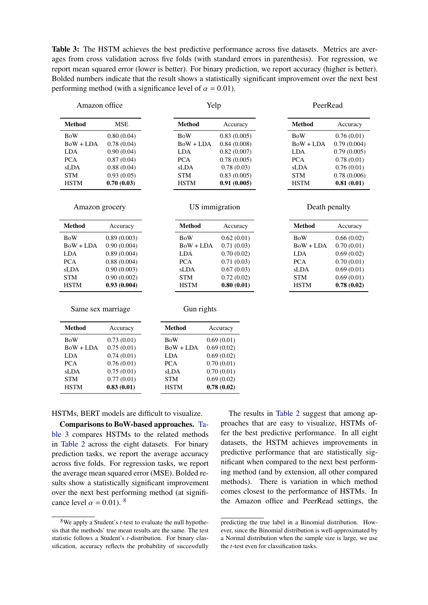<span id="page-6-0"></span>Table 3: The HSTM achieves the best predictive performance across five datasets. Metrics are averages from cross validation across five folds (with standard errors in parenthesis). For regression, we report mean squared error (lower is better). For binary prediction, we report accuracy (higher is better). Bolded numbers indicate that the result shows a statistically significant improvement over the next best performing method (with a significance level of  $\alpha = 0.01$ ).

| Amazon office |  |
|---------------|--|
|               |  |

#### Yelp

#### PeerRead

Death penalty

Method Accuracy BoW 0.66 (0.02)  $BoW + LDA = 0.70(0.01)$ LDA 0.69 (0.02) PCA 0.70 (0.01) sLDA 0.69 (0.01) STM 0.69 (0.01) HSTM 0.78 (0.02)

| <b>Method</b> | <b>MSE</b> | Method      | Accuracy    | Method      | Accuracy    |
|---------------|------------|-------------|-------------|-------------|-------------|
| <b>BoW</b>    | 0.80(0.04) | BoW         | 0.83(0.005) | <b>BoW</b>  | 0.76(0.01)  |
| $Bow + LDA$   | 0.78(0.04) | $Bow + LDA$ | 0.84(0.008) | $Bow + LDA$ | 0.79(0.004) |
| <b>LDA</b>    | 0.90(0.04) | LDA         | 0.82(0.007) | <b>LDA</b>  | 0.79(0.005) |
| <b>PCA</b>    | 0.87(0.04) | <b>PCA</b>  | 0.78(0.005) | <b>PCA</b>  | 0.78(0.01)  |
| sLDA          | 0.88(0.04) | sLDA        | 0.78(0.03)  | sLDA        | 0.76(0.01)  |
| <b>STM</b>    | 0.93(0.05) | <b>STM</b>  | 0.83(0.005) | <b>STM</b>  | 0.78(0.006) |
| <b>HSTM</b>   | 0.70(0.03) | <b>HSTM</b> | 0.91(0.005) | <b>HSTM</b> | 0.81(0.01)  |

US immigration

Gun rights

#### Amazon grocery

| Method      | Accuracy    | <b>Method</b> | Accuracy   |
|-------------|-------------|---------------|------------|
| BoW         | 0.89(0.003) | <b>BoW</b>    | 0.62(0.01) |
| $BoW + LDA$ | 0.90(0.004) | $BoW + LDA$   | 0.71(0.03) |
| LDA         | 0.89(0.004) | <b>LDA</b>    | 0.70(0.02) |
| PCA         | 0.88(0.004) | <b>PCA</b>    | 0.71(0.03) |
| sLDA        | 0.90(0.003) | sLDA          | 0.67(0.03) |
| <b>STM</b>  | 0.90(0.002) | <b>STM</b>    | 0.72(0.02) |
| <b>HSTM</b> | 0.93(0.004) | <b>HSTM</b>   | 0.80(0.01) |
|             |             |               |            |

#### Same sex marriage

| <b>Method</b> | Accuracy   | <b>Method</b> | Accuracy   |
|---------------|------------|---------------|------------|
| <b>BoW</b>    | 0.73(0.01) | BoW           | 0.69(0.01) |
| $BoW + LDA$   | 0.75(0.01) | $BoW + LDA$   | 0.69(0.02) |
| <b>LDA</b>    | 0.74(0.01) | <b>LDA</b>    | 0.69(0.02) |
| <b>PCA</b>    | 0.76(0.01) | <b>PCA</b>    | 0.70(0.01) |
| sLDA          | 0.75(0.01) | sLDA          | 0.70(0.01) |
| <b>STM</b>    | 0.77(0.01) | <b>STM</b>    | 0.69(0.02) |
| <b>HSTM</b>   | 0.83(0.01) | <b>HSTM</b>   | 0.78(0.02) |

### HSTMs, BERT models are difficult to visualize.

Comparisons to BoW-based approaches. [Ta](#page-6-0)[ble 3](#page-6-0) compares HSTMs to the related methods in [Table 2](#page-5-0) across the eight datasets. For binary prediction tasks, we report the average accuracy across five folds. For regression tasks, we report the average mean squared error (MSE). Bolded results show a statistically significant improvement over the next best performing method (at significance level  $\alpha = 0.01$ ). <sup>[8](#page-6-1)</sup>

The results in [Table 2](#page-5-0) suggest that among approaches that are easy to visualize, HSTMs offer the best predictive performance. In all eight datasets, the HSTM achieves improvements in predictive performance that are statistically significant when compared to the next best performing method (and by extension, all other compared methods). There is variation in which method comes closest to the performance of HSTMs. In the Amazon office and PeerRead settings, the

<span id="page-6-1"></span><sup>&</sup>lt;sup>8</sup>We apply a Student's *t*-test to evaluate the null hypothesis that the methods' true mean results are the same. The test statistic follows a Student's *t*-distribution. For binary classification, accuracy reflects the probability of successfully

predicting the true label in a Binomial distribution. However, since the Binomial distribution is well-approximated by a Normal distribution when the sample size is large, we use the  $t$ -test even for classification tasks.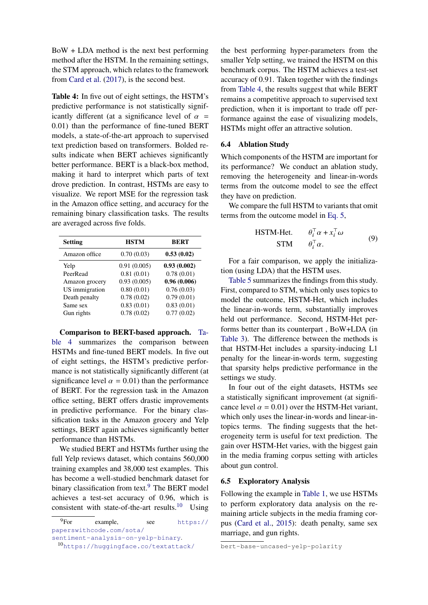BoW + LDA method is the next best performing method after the HSTM. In the remaining settings, the STM approach, which relates to the framework from [Card et al.](#page-11-6) [\(2017\)](#page-11-6), is the second best.

<span id="page-7-0"></span>Table 4: In five out of eight settings, the HSTM's predictive performance is not statistically significantly different (at a significance level of  $\alpha$  = 0.01) than the performance of fine-tuned BERT models, a state-of-the-art approach to supervised text prediction based on transformers. Bolded results indicate when BERT achieves significantly better performance. BERT is a black-box method, making it hard to interpret which parts of text drove prediction. In contrast, HSTMs are easy to visualize. We report MSE for the regression task in the Amazon office setting, and accuracy for the remaining binary classification tasks. The results are averaged across five folds.

| <b>Setting</b> | <b>HSTM</b> | <b>BERT</b> |
|----------------|-------------|-------------|
| Amazon office  | 0.70(0.03)  | 0.53(0.02)  |
| Yelp           | 0.91(0.005) | 0.93(0.002) |
| PeerRead       | 0.81(0.01)  | 0.78(0.01)  |
| Amazon grocery | 0.93(0.005) | 0.96(0.006) |
| US immigration | 0.80(0.01)  | 0.76(0.03)  |
| Death penalty  | 0.78(0.02)  | 0.79(0.01)  |
| Same sex       | 0.83(0.01)  | 0.83(0.01)  |
| Gun rights     | 0.78(0.02)  | 0.77(0.02)  |

Comparison to BERT-based approach. [Ta](#page-7-0)[ble 4](#page-7-0) summarizes the comparison between HSTMs and fine-tuned BERT models. In five out of eight settings, the HSTM's predictive performance is not statistically significantly different (at significance level  $\alpha = 0.01$ ) than the performance of BERT. For the regression task in the Amazon office setting, BERT offers drastic improvements in predictive performance. For the binary classification tasks in the Amazon grocery and Yelp settings, BERT again achieves significantly better performance than HSTMs.

We studied BERT and HSTMs further using the full Yelp reviews dataset, which contains 560,000 training examples and 38,000 test examples. This has become a well-studied benchmark dataset for binary classification from text.<sup>[9](#page-7-1)</sup> The BERT model achieves a test-set accuracy of 0.96, which is consistent with state-of-the-art results.<sup>[10](#page-7-2)</sup> Using

<span id="page-7-2"></span><span id="page-7-1"></span><sup>9</sup>For example, see [https://](https://paperswithcode.com/sota/sentiment-analysis-on-yelp-binary) [paperswithcode.com/sota/](https://paperswithcode.com/sota/sentiment-analysis-on-yelp-binary) [sentiment-analysis-on-yelp-binary](https://paperswithcode.com/sota/sentiment-analysis-on-yelp-binary). <sup>10</sup>[https://huggingface.co/textattack/](https://huggingface.co/textattack/bert-base-uncased-yelp-polarity)

[the best performing hyper-parameters from the](https://huggingface.co/textattack/bert-base-uncased-yelp-polarity) [smaller Yelp setting, we trained the HSTM on this](https://huggingface.co/textattack/bert-base-uncased-yelp-polarity) [benchmark corpus. The HSTM achieves a test-set](https://huggingface.co/textattack/bert-base-uncased-yelp-polarity) [accuracy of 0.91. Taken together with the findings](https://huggingface.co/textattack/bert-base-uncased-yelp-polarity) from [Table 4, the results suggest that while BERT](https://huggingface.co/textattack/bert-base-uncased-yelp-polarity) [remains a competitive approach to supervised text](https://huggingface.co/textattack/bert-base-uncased-yelp-polarity) [prediction, when it is important to trade off per](https://huggingface.co/textattack/bert-base-uncased-yelp-polarity)[formance against the ease of visualizing models,](https://huggingface.co/textattack/bert-base-uncased-yelp-polarity) [HSTMs might offer an attractive solution.](https://huggingface.co/textattack/bert-base-uncased-yelp-polarity)

## [6.4 Ablation Study](https://huggingface.co/textattack/bert-base-uncased-yelp-polarity)

[Which components of the HSTM are important for](https://huggingface.co/textattack/bert-base-uncased-yelp-polarity) [its performance? We conduct an ablation study,](https://huggingface.co/textattack/bert-base-uncased-yelp-polarity) [removing the heterogeneity and linear-in-words](https://huggingface.co/textattack/bert-base-uncased-yelp-polarity) [terms from the outcome model to see the effect](https://huggingface.co/textattack/bert-base-uncased-yelp-polarity) [they have on prediction.](https://huggingface.co/textattack/bert-base-uncased-yelp-polarity)

[We compare the full HSTM to variants that omit](https://huggingface.co/textattack/bert-base-uncased-yelp-polarity) [terms from the outcome model in](https://huggingface.co/textattack/bert-base-uncased-yelp-polarity) [Eq. 5,](#page-2-1)

$$
\begin{array}{ll}\n\text{HSTM-Het.} & \theta_i^{\top} \alpha + x_i^{\top} \omega \\
\text{STM} & \theta_i^{\top} \alpha.\n\end{array} \tag{9}
$$

[For a fair comparison, we apply the initializa](https://huggingface.co/textattack/bert-base-uncased-yelp-polarity)[tion \(using LDA\) that the HSTM uses.](https://huggingface.co/textattack/bert-base-uncased-yelp-polarity)

[Table 5](#page-8-0) [summarizes the findings from this study.](https://huggingface.co/textattack/bert-base-uncased-yelp-polarity) [First, compared to STM, which only uses topics to](https://huggingface.co/textattack/bert-base-uncased-yelp-polarity) [model the outcome, HSTM-Het, which includes](https://huggingface.co/textattack/bert-base-uncased-yelp-polarity) [the linear-in-words term, substantially improves](https://huggingface.co/textattack/bert-base-uncased-yelp-polarity) [held out performance. Second, HSTM-Het per](https://huggingface.co/textattack/bert-base-uncased-yelp-polarity)[forms better than its counterpart , BoW+LDA \(in](https://huggingface.co/textattack/bert-base-uncased-yelp-polarity) [Table 3\). The difference between the methods is](https://huggingface.co/textattack/bert-base-uncased-yelp-polarity) [that HSTM-Het includes a sparsity-inducing L1](https://huggingface.co/textattack/bert-base-uncased-yelp-polarity) [penalty for the linear-in-words term, suggesting](https://huggingface.co/textattack/bert-base-uncased-yelp-polarity) [that sparsity helps predictive performance in the](https://huggingface.co/textattack/bert-base-uncased-yelp-polarity) [settings we study.](https://huggingface.co/textattack/bert-base-uncased-yelp-polarity)

[In four out of the eight datasets, HSTMs see](https://huggingface.co/textattack/bert-base-uncased-yelp-polarity) [a statistically significant improvement \(at signifi](https://huggingface.co/textattack/bert-base-uncased-yelp-polarity)cance level  $\alpha = 0.01$ [\) over the HSTM-Het variant,](https://huggingface.co/textattack/bert-base-uncased-yelp-polarity) [which only uses the linear-in-words and linear-in](https://huggingface.co/textattack/bert-base-uncased-yelp-polarity)[topics terms. The finding suggests that the het](https://huggingface.co/textattack/bert-base-uncased-yelp-polarity)[erogeneity term is useful for text prediction. The](https://huggingface.co/textattack/bert-base-uncased-yelp-polarity) [gain over HSTM-Het varies, with the biggest gain](https://huggingface.co/textattack/bert-base-uncased-yelp-polarity) [in the media framing corpus setting with articles](https://huggingface.co/textattack/bert-base-uncased-yelp-polarity) [about gun control.](https://huggingface.co/textattack/bert-base-uncased-yelp-polarity)

### [6.5 Exploratory Analysis](https://huggingface.co/textattack/bert-base-uncased-yelp-polarity)

[Following the example in](https://huggingface.co/textattack/bert-base-uncased-yelp-polarity) [Table 1,](#page-0-0) we use HSTMs [to perform exploratory data analysis on the re](https://huggingface.co/textattack/bert-base-uncased-yelp-polarity)[maining article subjects in the media framing cor](https://huggingface.co/textattack/bert-base-uncased-yelp-polarity)pus [\(Card et al.,](#page-11-0) [2015\): death penalty, same sex](https://huggingface.co/textattack/bert-base-uncased-yelp-polarity) [marriage, and gun rights.](https://huggingface.co/textattack/bert-base-uncased-yelp-polarity)

[bert-base-uncased-yelp-polarity](https://huggingface.co/textattack/bert-base-uncased-yelp-polarity)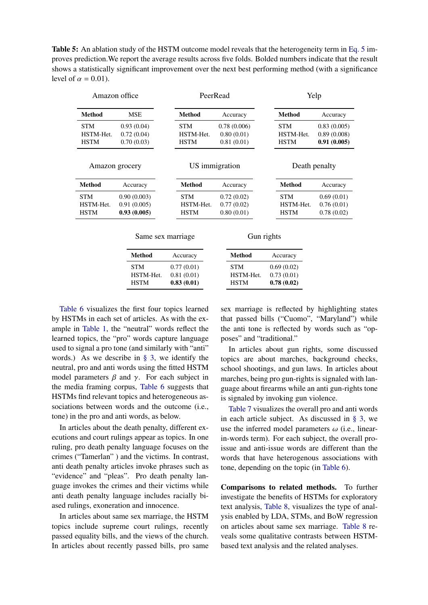<span id="page-8-0"></span>Table 5: An ablation study of the HSTM outcome model reveals that the heterogeneity term in [Eq. 5](#page-2-1) improves prediction.We report the average results across five folds. Bolded numbers indicate that the result shows a statistically significant improvement over the next best performing method (with a significance level of  $\alpha = 0.01$ ).

| Amazon office                          |                                           | PeerRead                               |                                         |            | Yelp                                   |                                           |
|----------------------------------------|-------------------------------------------|----------------------------------------|-----------------------------------------|------------|----------------------------------------|-------------------------------------------|
| <b>Method</b>                          | <b>MSE</b>                                | Method                                 | Accuracy                                |            | <b>Method</b>                          | Accuracy                                  |
| <b>STM</b><br>HSTM-Het.<br><b>HSTM</b> | 0.93(0.04)<br>0.72(0.04)<br>0.70(0.03)    | <b>STM</b><br>HSTM-Het.<br><b>HSTM</b> | 0.78(0.006)<br>0.80(0.01)<br>0.81(0.01) |            | <b>STM</b><br>HSTM-Het.<br><b>HSTM</b> | 0.83(0.005)<br>0.89(0.008)<br>0.91(0.005) |
| Amazon grocery                         |                                           | US immigration                         |                                         |            | Death penalty                          |                                           |
| Method                                 | Accuracy                                  | <b>Method</b>                          | Accuracy                                |            | Method                                 | Accuracy                                  |
| <b>STM</b><br>HSTM-Het.<br><b>HSTM</b> | 0.90(0.003)<br>0.91(0.005)<br>0.93(0.005) | <b>STM</b><br>HSTM-Het.<br><b>HSTM</b> | 0.72(0.02)<br>0.77(0.02)<br>0.80(0.01)  |            | <b>STM</b><br>HSTM-Het.<br><b>HSTM</b> | 0.69(0.01)<br>0.76(0.01)<br>0.78(0.02)    |
|                                        | Same sex marriage                         |                                        |                                         | Gun rights |                                        |                                           |
|                                        | <b>Method</b>                             | Accuracy                               | <b>Method</b>                           |            | Accuracy                               |                                           |
|                                        | <b>STM</b><br>HSTM-Het.<br><b>HSTM</b>    | 0.77(0.01)<br>0.81(0.01)<br>0.83(0.01) | <b>STM</b><br>HSTM-Het.<br><b>HSTM</b>  |            | 0.69(0.02)<br>0.73(0.01)<br>0.78(0.02) |                                           |

[Table 6](#page-9-0) visualizes the first four topics learned by HSTMs in each set of articles. As with the example in [Table 1,](#page-0-0) the "neutral" words reflect the learned topics, the "pro" words capture language used to signal a pro tone (and similarly with "anti" words.) As we describe in [§ 3,](#page-2-3) we identify the neutral, pro and anti words using the fitted HSTM model parameters  $\beta$  and  $\gamma$ . For each subject in the media framing corpus, [Table 6](#page-9-0) suggests that HSTMs find relevant topics and heterogeneous associations between words and the outcome (i.e., tone) in the pro and anti words, as below.

In articles about the death penalty, different executions and court rulings appear as topics. In one ruling, pro death penalty language focuses on the crimes ("Tamerlan" ) and the victims. In contrast, anti death penalty articles invoke phrases such as "evidence" and "pleas". Pro death penalty language invokes the crimes and their victims while anti death penalty language includes racially biased rulings, exoneration and innocence.

In articles about same sex marriage, the HSTM topics include supreme court rulings, recently passed equality bills, and the views of the church. In articles about recently passed bills, pro same

sex marriage is reflected by highlighting states that passed bills ("Cuomo", "Maryland") while the anti tone is reflected by words such as "opposes" and "traditional."

In articles about gun rights, some discussed topics are about marches, background checks, school shootings, and gun laws. In articles about marches, being pro gun-rights is signaled with language about firearms while an anti gun-rights tone is signaled by invoking gun violence.

[Table 7](#page-10-1) visualizes the overall pro and anti words in each article subject. As discussed in [§ 3,](#page-2-3) we use the inferred model parameters  $\omega$  (i.e., linearin-words term). For each subject, the overall proissue and anti-issue words are different than the words that have heterogenous associations with tone, depending on the topic (in [Table 6\)](#page-9-0).

Comparisons to related methods. To further investigate the benefits of HSTMs for exploratory text analysis, [Table 8,](#page-11-10) visualizes the type of analysis enabled by LDA, STMs, and BoW regression on articles about same sex marriage. [Table 8](#page-11-10) reveals some qualitative contrasts between HSTMbased text analysis and the related analyses.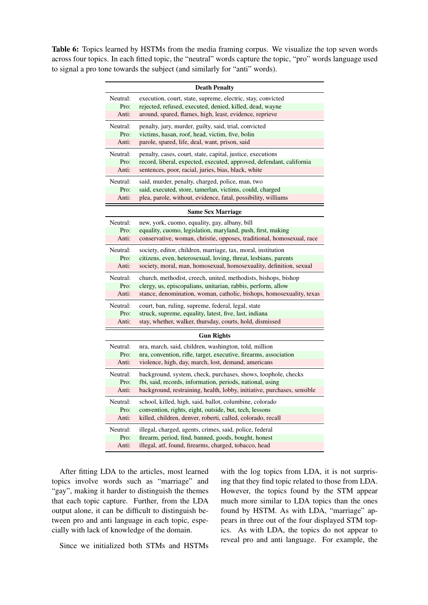<span id="page-9-0"></span>Table 6: Topics learned by HSTMs from the media framing corpus. We visualize the top seven words across four topics. In each fitted topic, the "neutral" words capture the topic, "pro" words language used to signal a pro tone towards the subject (and similarly for "anti" words).

|          | <b>Death Penalty</b>                                                    |
|----------|-------------------------------------------------------------------------|
| Neutral: | execution, court, state, supreme, electric, stay, convicted             |
| Pro:     | rejected, refused, executed, denied, killed, dead, wayne                |
| Anti:    | around, spared, flames, high, least, evidence, reprieve                 |
| Neutral: | penalty, jury, murder, guilty, said, trial, convicted                   |
| Pro:     | victims, hasan, roof, head, victim, five, bolin                         |
| Anti:    | parole, spared, life, deal, want, prison, said                          |
| Neutral: | penalty, cases, court, state, capital, justice, executions              |
| Pro:     | record, liberal, expected, executed, approved, defendant, california    |
| Anti:    | sentences, poor, racial, juries, bias, black, white                     |
| Neutral: | said, murder, penalty, charged, police, man, two                        |
| Pro:     | said, executed, store, tamerlan, victims, could, charged                |
| Anti:    | plea, parole, without, evidence, fatal, possibility, williams           |
|          | <b>Same Sex Marriage</b>                                                |
| Neutral: | new, york, cuomo, equality, gay, albany, bill                           |
| Pro:     | equality, cuomo, legislation, maryland, push, first, making             |
| Anti:    | conservative, woman, christie, opposes, traditional, homosexual, race   |
| Neutral: | society, editor, children, marriage, tax, moral, institution            |
| Pro:     | citizens, even, heterosexual, loving, threat, lesbians, parents         |
| Anti:    | society, moral, man, homosexual, homosexuality, definition, sexual      |
| Neutral: | church, methodist, creech, united, methodists, bishops, bishop          |
| Pro:     | clergy, us, episcopalians, unitarian, rabbis, perform, allow            |
| Anti:    | stance, denomination, woman, catholic, bishops, homosexuality, texas    |
| Neutral: | court, ban, ruling, supreme, federal, legal, state                      |
| Pro:     | struck, supreme, equality, latest, five, last, indiana                  |
| Anti:    | stay, whether, walker, thursday, courts, hold, dismissed                |
|          | <b>Gun Rights</b>                                                       |
| Neutral: | nra, march, said, children, washington, told, million                   |
| Pro:     | nra, convention, rifle, target, executive, firearms, association        |
| Anti:    | violence, high, day, march, lost, demand, americans                     |
| Neutral: | background, system, check, purchases, shows, loophole, checks           |
| Pro:     | fbi, said, records, information, periods, national, using               |
| Anti:    | background, restraining, health, lobby, initiative, purchases, sensible |
| Neutral: | school, killed, high, said, ballot, columbine, colorado                 |
| Pro:     | convention, rights, eight, outside, but, tech, lessons                  |
| Anti:    | killed, children, denver, roberti, called, colorado, recall             |
| Neutral: | illegal, charged, agents, crimes, said, police, federal                 |
| Pro:     | firearm, period, find, banned, goods, bought, honest                    |
| Anti:    | illegal, atf, found, firearms, charged, tobacco, head                   |

After fitting LDA to the articles, most learned topics involve words such as "marriage" and "gay", making it harder to distinguish the themes that each topic capture. Further, from the LDA output alone, it can be difficult to distinguish between pro and anti language in each topic, especially with lack of knowledge of the domain.

ing that they find topic related to those from LDA. However, the topics found by the STM appear much more similar to LDA topics than the ones found by HSTM. As with LDA, "marriage" appears in three out of the four displayed STM topics. As with LDA, the topics do not appear to reveal pro and anti language. For example, the

with the log topics from LDA, it is not surpris-

Since we initialized both STMs and HSTMs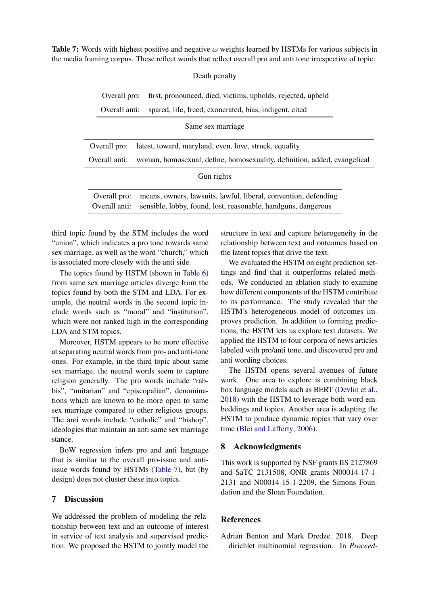<span id="page-10-1"></span>**Table 7:** Words with highest positive and negative  $\omega$  weights learned by HSTMs for various subjects in the media framing corpus. These reflect words that reflect overall pro and anti tone irrespective of topic.

| first, pronounced, died, victims, upholds, rejected, upheld<br>Overall pro:                                                                                       |  |
|-------------------------------------------------------------------------------------------------------------------------------------------------------------------|--|
| spared, life, freed, exonerated, bias, indigent, cited<br>Overall anti:                                                                                           |  |
| Same sex marriage                                                                                                                                                 |  |
| Overall pro:<br>latest, toward, maryland, even, love, struck, equality                                                                                            |  |
| woman, homosexual, define, homosexuality, definition, added, evangelical<br>Overall anti:                                                                         |  |
| Gun rights                                                                                                                                                        |  |
| means, owners, lawsuits, lawful, liberal, convention, defending<br>Overall pro:<br>Overall anti:<br>sensible, lobby, found, lost, reasonable, handguns, dangerous |  |

Death penalty

third topic found by the STM includes the word "union", which indicates a pro tone towards same sex marriage, as well as the word "church," which is associated more closely with the anti side.

The topics found by HSTM (shown in [Table 6\)](#page-9-0) from same sex marriage articles diverge from the topics found by both the STM and LDA. For example, the neutral words in the second topic include words such as "moral" and "institution", which were not ranked high in the corresponding LDA and STM topics.

Moreover, HSTM appears to be more effective at separating neutral words from pro- and anti-tone ones. For example, in the third topic about same sex marriage, the neutral words seem to capture religion generally. The pro words include "rabbis", "unitarian" and "episcopalian", denominations which are known to be more open to same sex marriage compared to other religious groups. The anti words include "catholic" and "bishop", ideologies that maintain an anti same sex marriage stance.

BoW regression infers pro and anti language that is similar to the overall pro-issue and antiissue words found by HSTMs [\(Table 7\)](#page-10-1), but (by design) does not cluster these into topics.

# 7 Discussion

We addressed the problem of modeling the relationship between text and an outcome of interest in service of text analysis and supervised prediction. We proposed the HSTM to jointly model the

structure in text and capture heterogeneity in the relationship between text and outcomes based on the latent topics that drive the text.

We evaluated the HSTM on eight prediction settings and find that it outperforms related methods. We conducted an ablation study to examine how different components of the HSTM contribute to its performance. The study revealed that the HSTM's heterogeneous model of outcomes improves prediction. In addition to forming predictions, the HSTM lets us explore text datasets. We applied the HSTM to four corpora of news articles labeled with pro/anti tone, and discovered pro and anti wording choices.

The HSTM opens several avenues of future work. One area to explore is combining black box language models such as BERT [\(Devlin et al.,](#page-11-3) [2018\)](#page-11-3) with the HSTM to leverage both word embeddings and topics. Another area is adapting the HSTM to produce dynamic topics that vary over time [\(Blei and Lafferty,](#page-11-11) [2006\)](#page-11-11).

## 8 Acknowledgments

This work is supported by NSF grants IIS 2127869 and SaTC 2131508, ONR grants N00014-17-1- 2131 and N00014-15-1-2209, the Simons Foundation and the Sloan Foundation.

## **References**

<span id="page-10-0"></span>Adrian Benton and Mark Dredze. 2018. Deep dirichlet multinomial regression. In *Proceed-*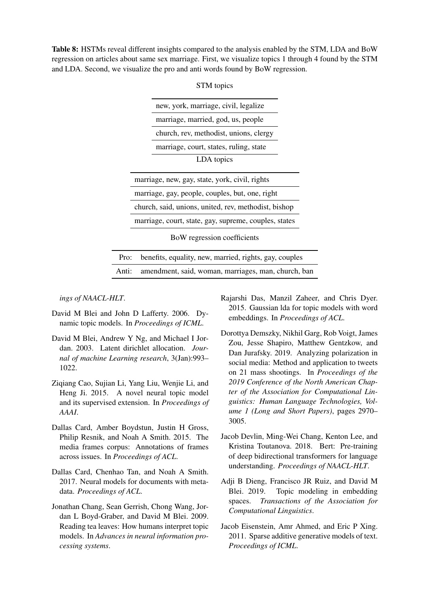<span id="page-11-10"></span>Table 8: HSTMs reveal different insights compared to the analysis enabled by the STM, LDA and BoW regression on articles about same sex marriage. First, we visualize topics 1 through 4 found by the STM and LDA. Second, we visualize the pro and anti words found by BoW regression.

|       | new, york, marriage, civil, legalize                   |  |
|-------|--------------------------------------------------------|--|
|       | marriage, married, god, us, people                     |  |
|       | church, rev, methodist, unions, clergy                 |  |
|       | marriage, court, states, ruling, state                 |  |
|       | LDA topics                                             |  |
|       | marriage, new, gay, state, york, civil, rights         |  |
|       | marriage, gay, people, couples, but, one, right        |  |
|       | church, said, unions, united, rev, methodist, bishop   |  |
|       | marriage, court, state, gay, supreme, couples, states  |  |
|       | BoW regression coefficients                            |  |
| Pro:  | benefits, equality, new, married, rights, gay, couples |  |
| Anti: | amendment, said, woman, marriages, man, church, ban    |  |

STM topics

*ings of NAACL-HLT*.

- <span id="page-11-11"></span>David M Blei and John D Lafferty. 2006. Dynamic topic models. In *Proceedings of ICML*.
- <span id="page-11-2"></span>David M Blei, Andrew Y Ng, and Michael I Jordan. 2003. Latent dirichlet allocation. *Journal of machine Learning research*, 3(Jan):993– 1022.
- <span id="page-11-8"></span>Ziqiang Cao, Sujian Li, Yang Liu, Wenjie Li, and Heng Ji. 2015. A novel neural topic model and its supervised extension. In *Proceedings of AAAI*.
- <span id="page-11-0"></span>Dallas Card, Amber Boydstun, Justin H Gross, Philip Resnik, and Noah A Smith. 2015. The media frames corpus: Annotations of frames across issues. In *Proceedings of ACL*.
- <span id="page-11-6"></span>Dallas Card, Chenhao Tan, and Noah A Smith. 2017. Neural models for documents with metadata. *Proceedings of ACL*.
- <span id="page-11-4"></span>Jonathan Chang, Sean Gerrish, Chong Wang, Jordan L Boyd-Graber, and David M Blei. 2009. Reading tea leaves: How humans interpret topic models. In *Advances in neural information processing systems*.

<span id="page-11-9"></span>Rajarshi Das, Manzil Zaheer, and Chris Dyer. 2015. Gaussian lda for topic models with word embeddings. In *Proceedings of ACL*.

- <span id="page-11-1"></span>Dorottya Demszky, Nikhil Garg, Rob Voigt, James Zou, Jesse Shapiro, Matthew Gentzkow, and Dan Jurafsky. 2019. Analyzing polarization in social media: Method and application to tweets on 21 mass shootings. In *Proceedings of the 2019 Conference of the North American Chapter of the Association for Computational Linguistics: Human Language Technologies, Volume 1 (Long and Short Papers)*, pages 2970– 3005.
- <span id="page-11-3"></span>Jacob Devlin, Ming-Wei Chang, Kenton Lee, and Kristina Toutanova. 2018. Bert: Pre-training of deep bidirectional transformers for language understanding. *Proceedings of NAACL-HLT*.
- <span id="page-11-7"></span>Adji B Dieng, Francisco JR Ruiz, and David M Blei. 2019. Topic modeling in embedding spaces. *Transactions of the Association for Computational Linguistics*.
- <span id="page-11-5"></span>Jacob Eisenstein, Amr Ahmed, and Eric P Xing. 2011. Sparse additive generative models of text. *Proceedings of ICML*.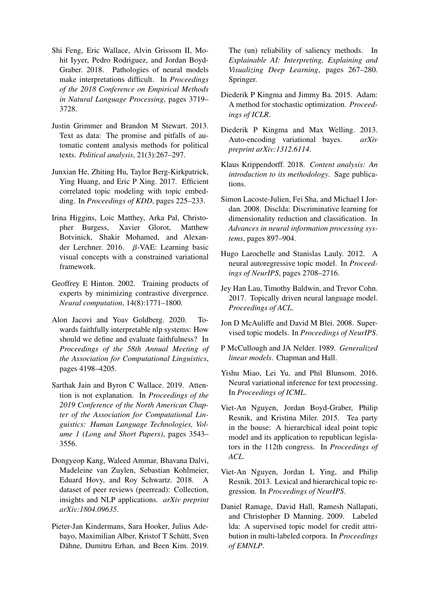- <span id="page-12-0"></span>Shi Feng, Eric Wallace, Alvin Grissom II, Mohit Iyyer, Pedro Rodriguez, and Jordan Boyd-Graber. 2018. Pathologies of neural models make interpretations difficult. In *Proceedings of the 2018 Conference on Empirical Methods in Natural Language Processing*, pages 3719– 3728.
- <span id="page-12-5"></span>Justin Grimmer and Brandon M Stewart. 2013. Text as data: The promise and pitfalls of automatic content analysis methods for political texts. *Political analysis*, 21(3):267–297.
- <span id="page-12-16"></span>Junxian He, Zhiting Hu, Taylor Berg-Kirkpatrick, Ying Huang, and Eric P Xing. 2017. Efficient correlated topic modeling with topic embedding. In *Proceedings of KDD*, pages 225–233.
- <span id="page-12-20"></span>Irina Higgins, Loic Matthey, Arka Pal, Christopher Burgess, Xavier Glorot, Matthew Botvinick, Shakir Mohamed, and Alexander Lerchner. 2016.  $\beta$ -VAE: Learning basic visual concepts with a constrained variational framework.
- <span id="page-12-8"></span>Geoffrey E Hinton. 2002. Training products of experts by minimizing contrastive divergence. *Neural computation*, 14(8):1771–1800.
- <span id="page-12-1"></span>Alon Jacovi and Yoav Goldberg. 2020. Towards faithfully interpretable nlp systems: How should we define and evaluate faithfulness? In *Proceedings of the 58th Annual Meeting of the Association for Computational Linguistics*, pages 4198–4205.
- <span id="page-12-2"></span>Sarthak Jain and Byron C Wallace. 2019. Attention is not explanation. In *Proceedings of the 2019 Conference of the North American Chapter of the Association for Computational Linguistics: Human Language Technologies, Volume 1 (Long and Short Papers)*, pages 3543– 3556.
- <span id="page-12-18"></span>Dongyeop Kang, Waleed Ammar, Bhavana Dalvi, Madeleine van Zuylen, Sebastian Kohlmeier, Eduard Hovy, and Roy Schwartz. 2018. A dataset of peer reviews (peerread): Collection, insights and NLP applications. *arXiv preprint arXiv:1804.09635*.
- <span id="page-12-3"></span>Pieter-Jan Kindermans, Sara Hooker, Julius Adebayo, Maximilian Alber, Kristof T Schütt, Sven Dähne, Dumitru Erhan, and Been Kim. 2019.

The (un) reliability of saliency methods. In *Explainable AI: Interpreting, Explaining and Visualizing Deep Learning*, pages 267–280. Springer.

- <span id="page-12-19"></span>Diederik P Kingma and Jimmy Ba. 2015. Adam: A method for stochastic optimization. *Proceedings of ICLR*.
- <span id="page-12-7"></span>Diederik P Kingma and Max Welling. 2013. Auto-encoding variational bayes. *arXiv preprint arXiv:1312.6114*.
- <span id="page-12-4"></span>Klaus Krippendorff. 2018. *Content analysis: An introduction to its methodology*. Sage publications.
- <span id="page-12-10"></span>Simon Lacoste-Julien, Fei Sha, and Michael I Jordan. 2008. Disclda: Discriminative learning for dimensionality reduction and classification. In *Advances in neural information processing systems*, pages 897–904.
- <span id="page-12-17"></span>Hugo Larochelle and Stanislas Lauly. 2012. A neural autoregressive topic model. In *Proceedings of NeurIPS*, pages 2708–2716.
- <span id="page-12-15"></span>Jey Han Lau, Timothy Baldwin, and Trevor Cohn. 2017. Topically driven neural language model. *Proceedings of ACL*.
- <span id="page-12-6"></span>Jon D McAuliffe and David M Blei. 2008. Supervised topic models. In *Proceedings of NeurIPS*.
- <span id="page-12-9"></span>P McCullough and JA Nelder. 1989. *Generalized linear models*. Chapman and Hall.
- <span id="page-12-14"></span>Yishu Miao, Lei Yu, and Phil Blunsom. 2016. Neural variational inference for text processing. In *Proceedings of ICML*.
- <span id="page-12-12"></span>Viet-An Nguyen, Jordan Boyd-Graber, Philip Resnik, and Kristina Miler. 2015. Tea party in the house: A hierarchical ideal point topic model and its application to republican legislators in the 112th congress. In *Proceedings of ACL*.
- <span id="page-12-11"></span>Viet-An Nguyen, Jordan L Ying, and Philip Resnik. 2013. Lexical and hierarchical topic regression. In *Proceedings of NeurIPS*.
- <span id="page-12-13"></span>Daniel Ramage, David Hall, Ramesh Nallapati, and Christopher D Manning. 2009. Labeled lda: A supervised topic model for credit attribution in multi-labeled corpora. In *Proceedings of EMNLP*.